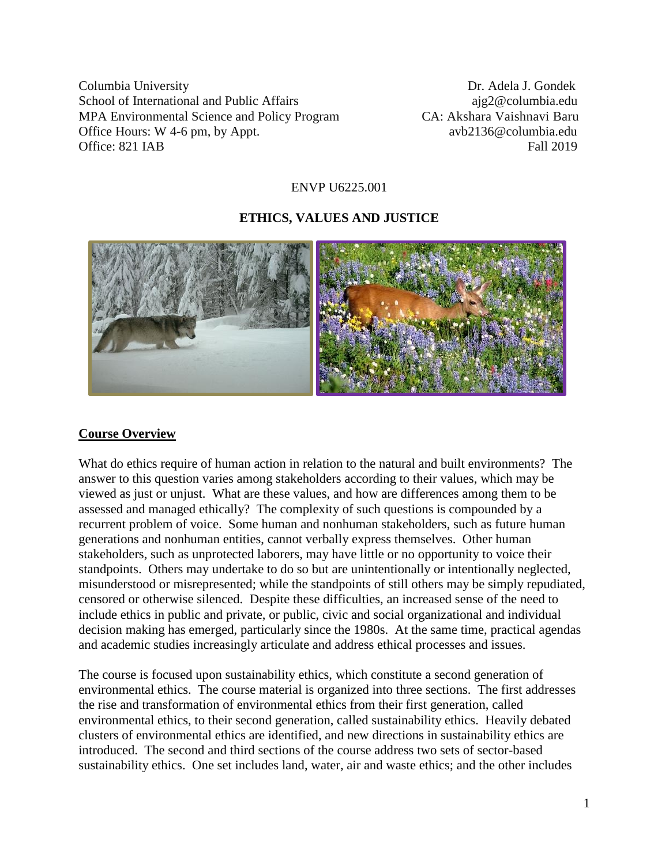Columbia UniversityDr. Adela J. Gondek School of International and Public Affairs ajg2@columbia.edu MPA Environmental Science and Policy Program CA: Akshara Vaishnavi Baru Office Hours: W 4-6 pm, by Appt. [avb2136@columbia.edu](mailto:avb2136@columbia.edu) Office: 821 IAB Fall 2019

#### ENVP U6225.001

#### **ETHICS, VALUES AND JUSTICE**



#### **Course Overview**

What do ethics require of human action in relation to the natural and built environments? The answer to this question varies among stakeholders according to their values, which may be viewed as just or unjust. What are these values, and how are differences among them to be assessed and managed ethically? The complexity of such questions is compounded by a recurrent problem of voice. Some human and nonhuman stakeholders, such as future human generations and nonhuman entities, cannot verbally express themselves. Other human stakeholders, such as unprotected laborers, may have little or no opportunity to voice their standpoints. Others may undertake to do so but are unintentionally or intentionally neglected, misunderstood or misrepresented; while the standpoints of still others may be simply repudiated, censored or otherwise silenced. Despite these difficulties, an increased sense of the need to include ethics in public and private, or public, civic and social organizational and individual decision making has emerged, particularly since the 1980s. At the same time, practical agendas and academic studies increasingly articulate and address ethical processes and issues.

The course is focused upon sustainability ethics, which constitute a second generation of environmental ethics. The course material is organized into three sections. The first addresses the rise and transformation of environmental ethics from their first generation, called environmental ethics, to their second generation, called sustainability ethics. Heavily debated clusters of environmental ethics are identified, and new directions in sustainability ethics are introduced. The second and third sections of the course address two sets of sector-based sustainability ethics. One set includes land, water, air and waste ethics; and the other includes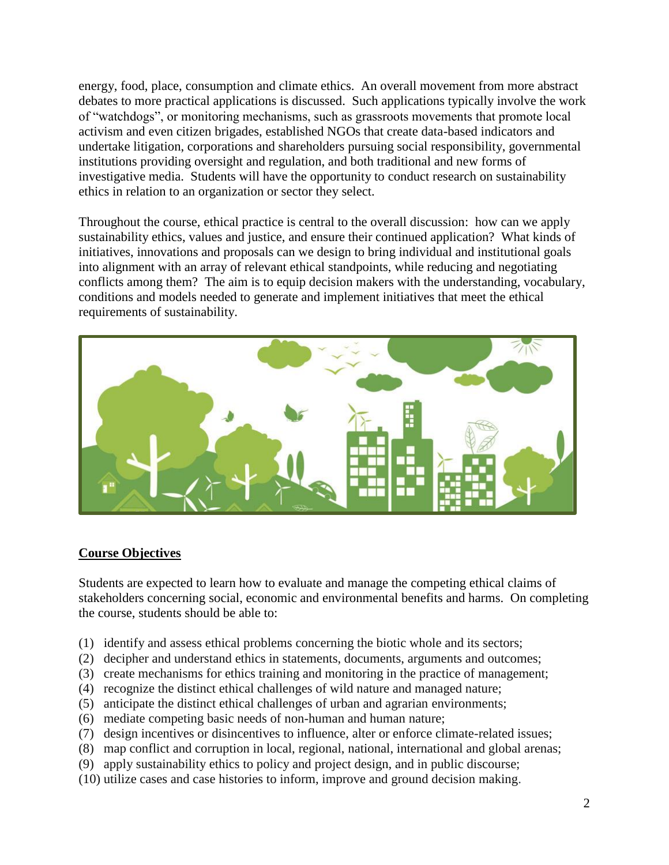energy, food, place, consumption and climate ethics. An overall movement from more abstract debates to more practical applications is discussed. Such applications typically involve the work of "watchdogs", or monitoring mechanisms, such as grassroots movements that promote local activism and even citizen brigades, established NGOs that create data-based indicators and undertake litigation, corporations and shareholders pursuing social responsibility, governmental institutions providing oversight and regulation, and both traditional and new forms of investigative media. Students will have the opportunity to conduct research on sustainability ethics in relation to an organization or sector they select.

Throughout the course, ethical practice is central to the overall discussion: how can we apply sustainability ethics, values and justice, and ensure their continued application? What kinds of initiatives, innovations and proposals can we design to bring individual and institutional goals into alignment with an array of relevant ethical standpoints, while reducing and negotiating conflicts among them? The aim is to equip decision makers with the understanding, vocabulary, conditions and models needed to generate and implement initiatives that meet the ethical requirements of sustainability.



## **Course Objectives**

Students are expected to learn how to evaluate and manage the competing ethical claims of stakeholders concerning social, economic and environmental benefits and harms. On completing the course, students should be able to:

- (1) identify and assess ethical problems concerning the biotic whole and its sectors;
- (2) decipher and understand ethics in statements, documents, arguments and outcomes;
- (3) create mechanisms for ethics training and monitoring in the practice of management;
- (4) recognize the distinct ethical challenges of wild nature and managed nature;
- (5) anticipate the distinct ethical challenges of urban and agrarian environments;
- (6) mediate competing basic needs of non-human and human nature;
- (7) design incentives or disincentives to influence, alter or enforce climate-related issues;
- (8) map conflict and corruption in local, regional, national, international and global arenas;
- (9) apply sustainability ethics to policy and project design, and in public discourse;
- (10) utilize cases and case histories to inform, improve and ground decision making.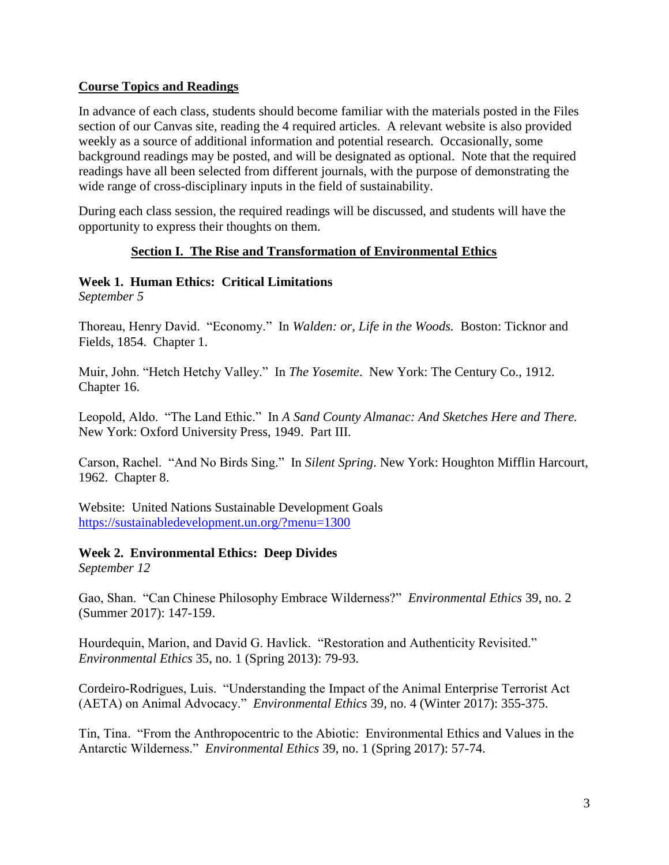## **Course Topics and Readings**

In advance of each class, students should become familiar with the materials posted in the Files section of our Canvas site, reading the 4 required articles. A relevant website is also provided weekly as a source of additional information and potential research. Occasionally, some background readings may be posted, and will be designated as optional. Note that the required readings have all been selected from different journals, with the purpose of demonstrating the wide range of cross-disciplinary inputs in the field of sustainability.

During each class session, the required readings will be discussed, and students will have the opportunity to express their thoughts on them.

## **Section I. The Rise and Transformation of Environmental Ethics**

## **Week 1. Human Ethics: Critical Limitations**

*September 5*

Thoreau, Henry David. "Economy." In *Walden: or, Life in the Woods.* Boston: Ticknor and Fields, 1854. Chapter 1.

Muir, John. "Hetch Hetchy Valley." In *The Yosemite*. New York: The Century Co., 1912. Chapter 16.

Leopold, Aldo. "The Land Ethic." In *A Sand County Almanac: And Sketches Here and There.*  New York: Oxford University Press, 1949. Part III.

Carson, Rachel. "And No Birds Sing." In *Silent Spring*. New York: Houghton Mifflin Harcourt, 1962. Chapter 8.

Website: United Nations Sustainable Development Goals <https://sustainabledevelopment.un.org/?menu=1300>

# **Week 2. Environmental Ethics: Deep Divides**

*September 12*

Gao, Shan. "Can Chinese Philosophy Embrace Wilderness?" *Environmental Ethics* 39, no. 2 (Summer 2017): 147-159.

Hourdequin, Marion, and David G. Havlick. "Restoration and Authenticity Revisited." *Environmental Ethics* 35, no. 1 (Spring 2013): 79-93.

Cordeiro-Rodrigues, Luis. "Understanding the Impact of the Animal Enterprise Terrorist Act (AETA) on Animal Advocacy." *Environmental Ethics* 39, no. 4 (Winter 2017): 355-375.

Tin, Tina. "From the Anthropocentric to the Abiotic: Environmental Ethics and Values in the Antarctic Wilderness." *Environmental Ethics* 39, no. 1 (Spring 2017): 57-74.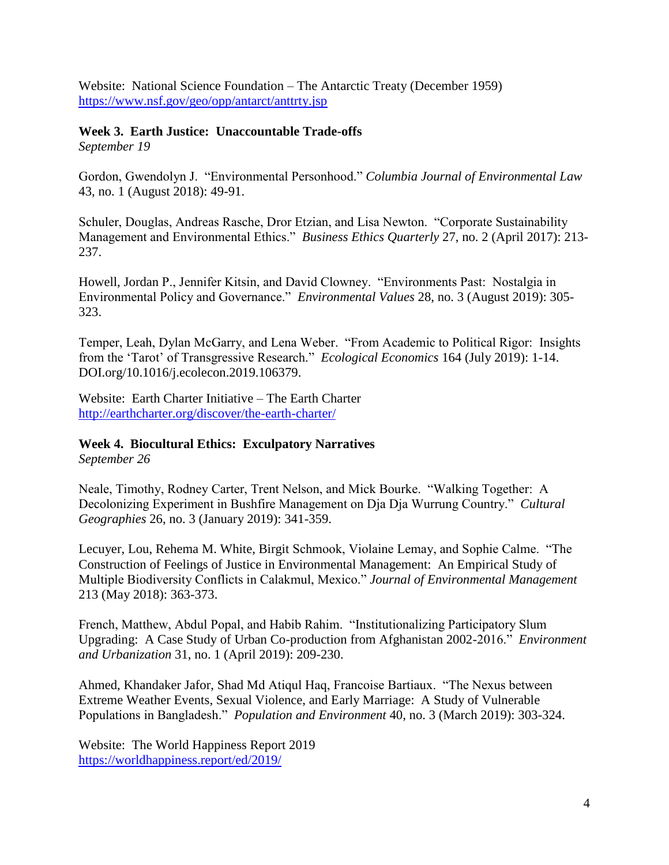Website: National Science Foundation – The Antarctic Treaty (December 1959) <https://www.nsf.gov/geo/opp/antarct/anttrty.jsp>

#### **Week 3. Earth Justice: Unaccountable Trade-offs**  *September 19*

Gordon, Gwendolyn J. "Environmental Personhood." *Columbia Journal of Environmental Law* 43, no. 1 (August 2018): 49-91.

Schuler, Douglas, Andreas Rasche, Dror Etzian, and Lisa Newton. "Corporate Sustainability Management and Environmental Ethics." *Business Ethics Quarterly* 27, no. 2 (April 2017): 213- 237.

Howell, Jordan P., Jennifer Kitsin, and David Clowney. "Environments Past: Nostalgia in Environmental Policy and Governance." *Environmental Values* 28, no. 3 (August 2019): 305- 323.

Temper, Leah, Dylan McGarry, and Lena Weber. "From Academic to Political Rigor: Insights from the 'Tarot' of Transgressive Research." *Ecological Economics* 164 (July 2019): 1-14. DOI.org/10.1016/j.ecolecon.2019.106379.

Website: Earth Charter Initiative – The Earth Charter <http://earthcharter.org/discover/the-earth-charter/>

# **Week 4. Biocultural Ethics: Exculpatory Narratives**

*September 26*

Neale, Timothy, Rodney Carter, Trent Nelson, and Mick Bourke. "Walking Together: A Decolonizing Experiment in Bushfire Management on Dja Dja Wurrung Country." *Cultural Geographies* 26, no. 3 (January 2019): 341-359.

Lecuyer, Lou, Rehema M. White, Birgit Schmook, Violaine Lemay, and Sophie Calme. "The Construction of Feelings of Justice in Environmental Management: An Empirical Study of Multiple Biodiversity Conflicts in Calakmul, Mexico." *Journal of Environmental Management* 213 (May 2018): 363-373.

French, Matthew, Abdul Popal, and Habib Rahim. "Institutionalizing Participatory Slum Upgrading: A Case Study of Urban Co-production from Afghanistan 2002-2016." *Environment and Urbanization* 31, no. 1 (April 2019): 209-230.

Ahmed, Khandaker Jafor, Shad Md Atiqul Haq, Francoise Bartiaux. "The Nexus between Extreme Weather Events, Sexual Violence, and Early Marriage: A Study of Vulnerable Populations in Bangladesh." *Population and Environment* 40, no. 3 (March 2019): 303-324.

Website: The World Happiness Report 2019 <https://worldhappiness.report/ed/2019/>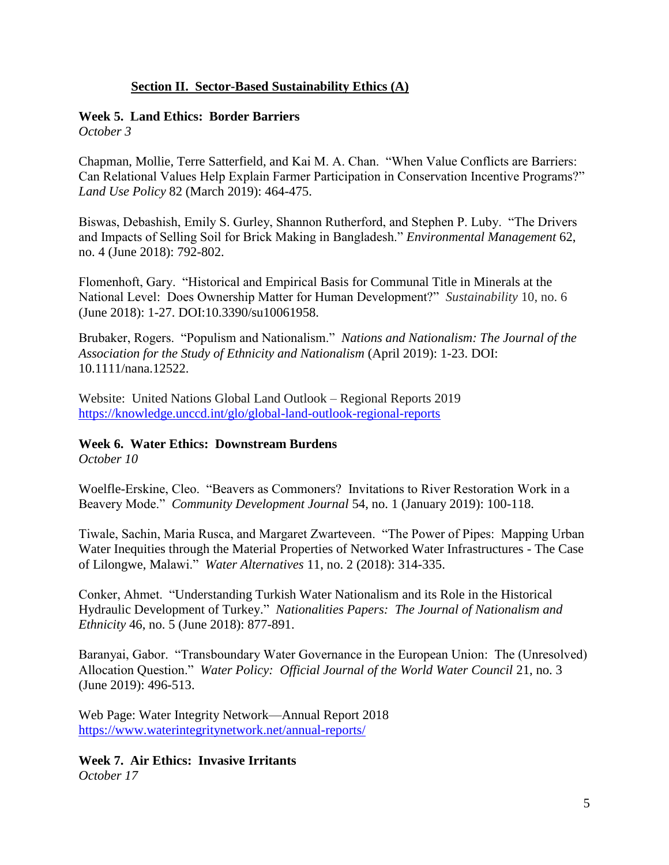## **Section II. Sector-Based Sustainability Ethics (A)**

## **Week 5. Land Ethics: Border Barriers**

*October 3*

Chapman, Mollie, Terre Satterfield, and Kai M. A. Chan. "When Value Conflicts are Barriers: Can Relational Values Help Explain Farmer Participation in Conservation Incentive Programs?" *Land Use Policy* 82 (March 2019): 464-475.

Biswas, Debashish, Emily S. Gurley, Shannon Rutherford, and Stephen P. Luby. "The Drivers and Impacts of Selling Soil for Brick Making in Bangladesh." *Environmental Management* 62, no. 4 (June 2018): 792-802.

Flomenhoft, Gary. "Historical and Empirical Basis for Communal Title in Minerals at the National Level: Does Ownership Matter for Human Development?" *Sustainability* 10, no. 6 (June 2018): 1-27. DOI:10.3390/su10061958.

Brubaker, Rogers. "Populism and Nationalism." *Nations and Nationalism: The Journal of the Association for the Study of Ethnicity and Nationalism* (April 2019): 1-23. DOI: 10.1111/nana.12522.

Website: United Nations Global Land Outlook – Regional Reports 2019 <https://knowledge.unccd.int/glo/global-land-outlook-regional-reports>

#### **Week 6. Water Ethics: Downstream Burdens**

*October 10*

Woelfle-Erskine, Cleo. "Beavers as Commoners? Invitations to River Restoration Work in a Beavery Mode." *Community Development Journal* 54, no. 1 (January 2019): 100-118.

Tiwale, Sachin, Maria Rusca, and Margaret Zwarteveen. "The Power of Pipes: Mapping Urban Water Inequities through the Material Properties of Networked Water Infrastructures - The Case of Lilongwe, Malawi." *Water Alternatives* 11, no. 2 (2018): 314-335.

Conker, Ahmet. "Understanding Turkish Water Nationalism and its Role in the Historical Hydraulic Development of Turkey." *Nationalities Papers: The Journal of Nationalism and Ethnicity* 46, no. 5 (June 2018): 877-891.

Baranyai, Gabor. "Transboundary Water Governance in the European Union: The (Unresolved) Allocation Question." *Water Policy: Official Journal of the World Water Council* 21, no. 3 (June 2019): 496-513.

Web Page: Water Integrity Network—Annual Report 2018 <https://www.waterintegritynetwork.net/annual-reports/>

**Week 7. Air Ethics: Invasive Irritants** *October 17*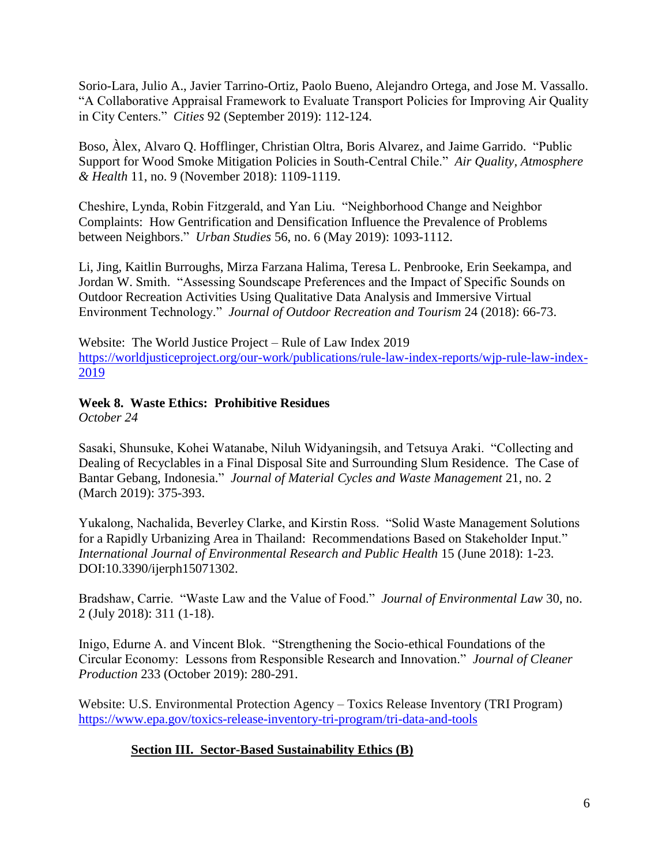Sorio-Lara, Julio A., Javier Tarrino-Ortiz, Paolo Bueno, Alejandro Ortega, and Jose M. Vassallo. "A Collaborative Appraisal Framework to Evaluate Transport Policies for Improving Air Quality in City Centers." *Cities* 92 (September 2019): 112-124.

Boso, Àlex, Alvaro Q. Hofflinger, Christian Oltra, Boris Alvarez, and Jaime Garrido."Public Support for Wood Smoke Mitigation Policies in South-Central Chile." *Air Quality, Atmosphere & Health* 11, no. 9 (November 2018): 1109-1119.

Cheshire, Lynda, Robin Fitzgerald, and Yan Liu. "Neighborhood Change and Neighbor Complaints: How Gentrification and Densification Influence the Prevalence of Problems between Neighbors." *Urban Studies* 56, no. 6 (May 2019): 1093-1112.

Li, Jing, Kaitlin Burroughs, Mirza Farzana Halima, Teresa L. Penbrooke, Erin Seekampa, and Jordan W. Smith. "Assessing Soundscape Preferences and the Impact of Specific Sounds on Outdoor Recreation Activities Using Qualitative Data Analysis and Immersive Virtual Environment Technology." *Journal of Outdoor Recreation and Tourism* 24 (2018): 66-73.

Website: The World Justice Project – Rule of Law Index 2019 [https://worldjusticeproject.org/our-work/publications/rule-law-index-reports/wjp-rule-law-index-](https://worldjusticeproject.org/our-work/publications/rule-law-index-reports/wjp-rule-law-index-2019)[2019](https://worldjusticeproject.org/our-work/publications/rule-law-index-reports/wjp-rule-law-index-2019)

## **Week 8. Waste Ethics: Prohibitive Residues**

*October 24*

Sasaki, Shunsuke, Kohei Watanabe, Niluh Widyaningsih, and Tetsuya Araki. "Collecting and Dealing of Recyclables in a Final Disposal Site and Surrounding Slum Residence. The Case of Bantar Gebang, Indonesia." *Journal of Material Cycles and Waste Management* 21, no. 2 (March 2019): 375-393.

Yukalong, Nachalida, Beverley Clarke, and Kirstin Ross. "Solid Waste Management Solutions for a Rapidly Urbanizing Area in Thailand: Recommendations Based on Stakeholder Input." *International Journal of Environmental Research and Public Health* 15 (June 2018): 1-23. DOI:10.3390/ijerph15071302.

Bradshaw, Carrie. "Waste Law and the Value of Food." *Journal of Environmental Law* 30, no. 2 (July 2018): 311 (1-18).

Inigo, Edurne A. and Vincent Blok. "Strengthening the Socio-ethical Foundations of the Circular Economy: Lessons from Responsible Research and Innovation." *Journal of Cleaner Production* 233 (October 2019): 280-291.

Website: U.S. Environmental Protection Agency – Toxics Release Inventory (TRI Program) <https://www.epa.gov/toxics-release-inventory-tri-program/tri-data-and-tools>

# **Section III. Sector-Based Sustainability Ethics (B)**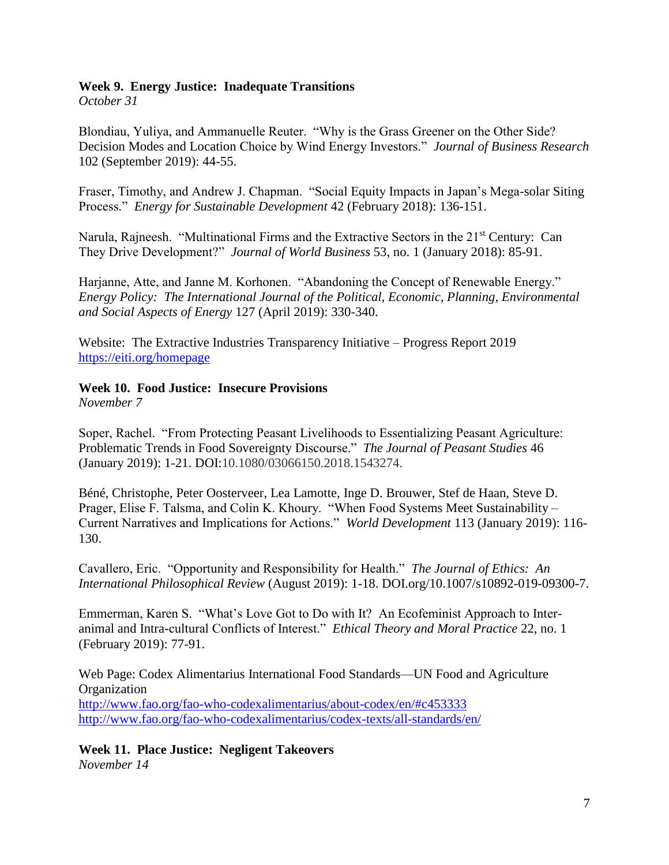## **Week 9. Energy Justice: Inadequate Transitions**

*October 31*

Blondiau, Yuliya, and Ammanuelle Reuter. "Why is the Grass Greener on the Other Side? Decision Modes and Location Choice by Wind Energy Investors." *Journal of Business Research* 102 (September 2019): 44-55.

Fraser, Timothy, and Andrew J. Chapman. "Social Equity Impacts in Japan's Mega-solar Siting Process." *Energy for Sustainable Development* 42 (February 2018): 136-151.

Narula, Rajneesh. "Multinational Firms and the Extractive Sectors in the 21<sup>st</sup> Century: Can They Drive Development?" *Journal of World Business* 53, no. 1 (January 2018): 85-91.

Harjanne, Atte, and Janne M. Korhonen. "Abandoning the Concept of Renewable Energy." *Energy Policy: The International Journal of the Political, Economic, Planning, Environmental and Social Aspects of Energy* 127 (April 2019): 330-340.

Website: The Extractive Industries Transparency Initiative – Progress Report 2019 <https://eiti.org/homepage>

## **Week 10. Food Justice: Insecure Provisions**

*November 7*

Soper, Rachel. "From Protecting Peasant Livelihoods to Essentializing Peasant Agriculture: Problematic Trends in Food Sovereignty Discourse." *The Journal of Peasant Studies* 46 (January 2019): 1-21. DOI:10.1080/03066150.2018.1543274.

Béné, Christophe, Peter Oosterveer, Lea Lamotte, Inge D. Brouwer, Stef de Haan, Steve D. Prager, Elise F. Talsma, and Colin K. Khoury. "When Food Systems Meet Sustainability – Current Narratives and Implications for Actions." *World Development* 113 (January 2019): 116- 130.

Cavallero, Eric. "Opportunity and Responsibility for Health." *The Journal of Ethics: An International Philosophical Review* (August 2019): 1-18. DOI.org/10.1007/s10892-019-09300-7.

Emmerman, Karen S. "What's Love Got to Do with It? An Ecofeminist Approach to Interanimal and Intra-cultural Conflicts of Interest." *Ethical Theory and Moral Practice* 22, no. 1 (February 2019): 77-91.

Web Page: Codex Alimentarius International Food Standards—UN Food and Agriculture **Organization** <http://www.fao.org/fao-who-codexalimentarius/about-codex/en/#c453333> <http://www.fao.org/fao-who-codexalimentarius/codex-texts/all-standards/en/>

**Week 11. Place Justice: Negligent Takeovers**  *November 14*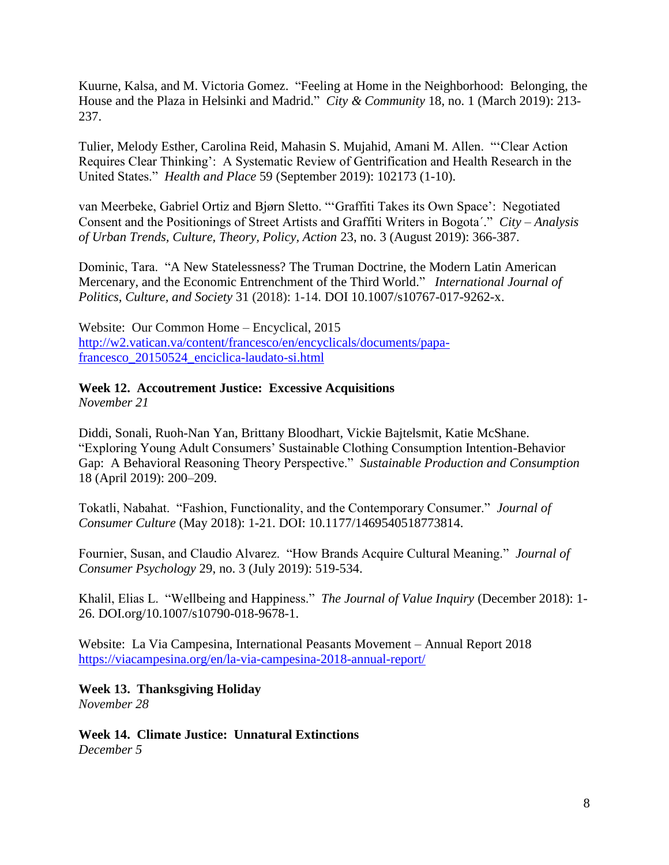Kuurne, Kalsa, and M. Victoria Gomez. "Feeling at Home in the Neighborhood: Belonging, the House and the Plaza in Helsinki and Madrid." *City & Community* 18, no. 1 (March 2019): 213- 237.

Tulier, Melody Esther, Carolina Reid, Mahasin S. Mujahid, Amani M. Allen. "'Clear Action Requires Clear Thinking': A Systematic Review of Gentrification and Health Research in the United States." *Health and Place* 59 (September 2019): 102173 (1-10).

van Meerbeke, Gabriel Ortiz and Bjørn Sletto. "'Graffiti Takes its Own Space': Negotiated Consent and the Positionings of Street Artists and Graffiti Writers in Bogota´." *City – Analysis of Urban Trends, Culture, Theory, Policy, Action* 23, no. 3 (August 2019): 366-387.

Dominic, Tara. "A New Statelessness? The Truman Doctrine, the Modern Latin American Mercenary, and the Economic Entrenchment of the Third World." *International Journal of Politics, Culture, and Society* 31 (2018): 1-14. DOI 10.1007/s10767-017-9262-x.

Website: Our Common Home – Encyclical, 2015 [http://w2.vatican.va/content/francesco/en/encyclicals/documents/papa](http://w2.vatican.va/content/francesco/en/encyclicals/documents/papa-francesco_20150524_enciclica-laudato-si.html)[francesco\\_20150524\\_enciclica-laudato-si.html](http://w2.vatican.va/content/francesco/en/encyclicals/documents/papa-francesco_20150524_enciclica-laudato-si.html)

### **Week 12. Accoutrement Justice: Excessive Acquisitions**

*November 21*

Diddi, Sonali, Ruoh-Nan Yan, Brittany Bloodhart, Vickie Bajtelsmit, Katie McShane. "Exploring Young Adult Consumers' Sustainable Clothing Consumption Intention-Behavior Gap: A Behavioral Reasoning Theory Perspective." *Sustainable Production and Consumption* 18 (April 2019): 200–209.

Tokatli, Nabahat. "Fashion, Functionality, and the Contemporary Consumer." *Journal of Consumer Culture* (May 2018): 1-21. DOI: 10.1177/1469540518773814.

Fournier, Susan, and Claudio Alvarez. "How Brands Acquire Cultural Meaning." *Journal of Consumer Psychology* 29, no. 3 (July 2019): 519-534.

Khalil, Elias L. "Wellbeing and Happiness." *The Journal of Value Inquiry* (December 2018): 1- 26. DOI.org/10.1007/s10790-018-9678-1.

Website: La Via Campesina, International Peasants Movement – Annual Report 2018 <https://viacampesina.org/en/la-via-campesina-2018-annual-report/>

**Week 13. Thanksgiving Holiday** *November 28*

**Week 14. Climate Justice: Unnatural Extinctions**  *December 5*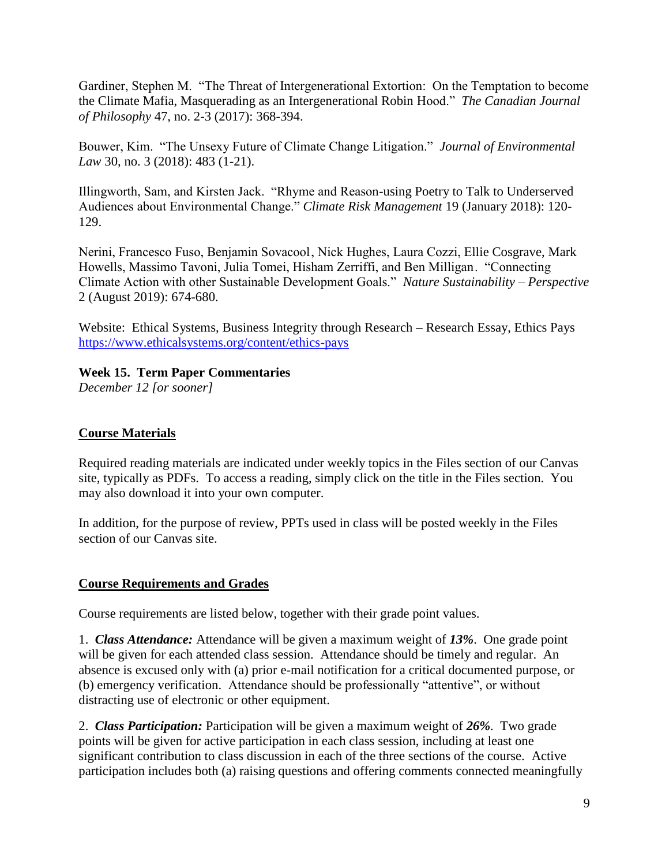Gardiner, Stephen M. "The Threat of Intergenerational Extortion: On the Temptation to become the Climate Mafia, Masquerading as an Intergenerational Robin Hood." *The Canadian Journal of Philosophy* 47, no. 2-3 (2017): 368-394.

Bouwer, Kim. "The Unsexy Future of Climate Change Litigation." *Journal of Environmental Law* 30, no. 3 (2018): 483 (1-21).

Illingworth, Sam, and Kirsten Jack. "Rhyme and Reason-using Poetry to Talk to Underserved Audiences about Environmental Change." *Climate Risk Management* 19 (January 2018): 120- 129.

Nerini, Francesco Fuso, Benjamin Sovacool , Nick Hughes, Laura Cozzi, Ellie Cosgrave, Mark Howells, Massimo Tavoni, Julia Tomei, Hisham Zerriffi, and Ben Milligan . "Connecting Climate Action with other Sustainable Development Goals." *Nature Sustainability – Perspective*  2 (August 2019): 674-680.

Website: Ethical Systems, Business Integrity through Research – Research Essay, Ethics Pays <https://www.ethicalsystems.org/content/ethics-pays>

# **Week 15. Term Paper Commentaries**

*December 12 [or sooner]*

## **Course Materials**

Required reading materials are indicated under weekly topics in the Files section of our Canvas site, typically as PDFs. To access a reading, simply click on the title in the Files section. You may also download it into your own computer.

In addition, for the purpose of review, PPTs used in class will be posted weekly in the Files section of our Canvas site.

## **Course Requirements and Grades**

Course requirements are listed below, together with their grade point values.

1. *Class Attendance:* Attendance will be given a maximum weight of *13%*. One grade point will be given for each attended class session. Attendance should be timely and regular. An absence is excused only with (a) prior e-mail notification for a critical documented purpose, or (b) emergency verification. Attendance should be professionally "attentive", or without distracting use of electronic or other equipment.

2. *Class Participation:* Participation will be given a maximum weight of *26%*. Two grade points will be given for active participation in each class session, including at least one significant contribution to class discussion in each of the three sections of the course. Active participation includes both (a) raising questions and offering comments connected meaningfully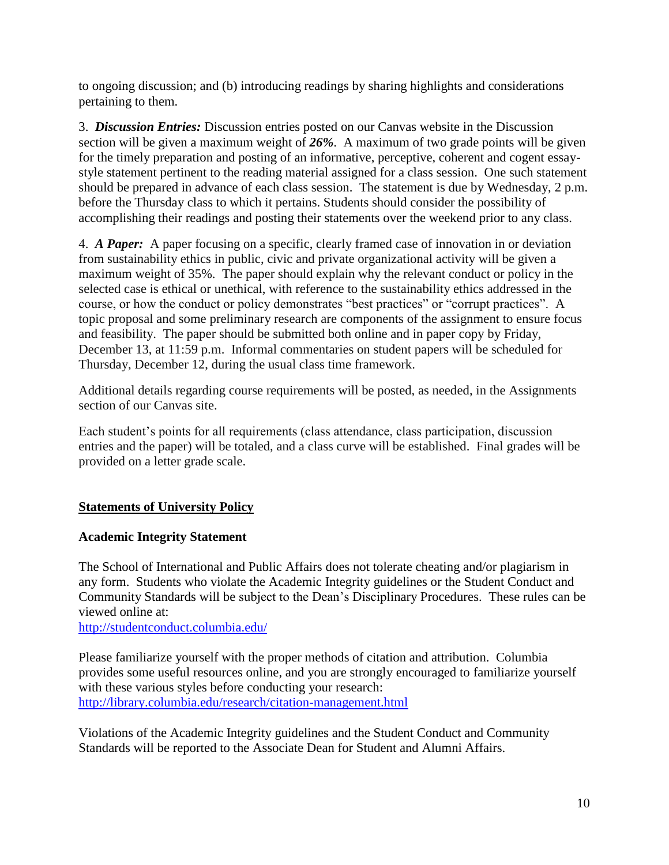to ongoing discussion; and (b) introducing readings by sharing highlights and considerations pertaining to them.

3. *Discussion Entries:* Discussion entries posted on our Canvas website in the Discussion section will be given a maximum weight of *26%*. A maximum of two grade points will be given for the timely preparation and posting of an informative, perceptive, coherent and cogent essaystyle statement pertinent to the reading material assigned for a class session. One such statement should be prepared in advance of each class session. The statement is due by Wednesday, 2 p.m. before the Thursday class to which it pertains. Students should consider the possibility of accomplishing their readings and posting their statements over the weekend prior to any class.

4. *A Paper:* A paper focusing on a specific, clearly framed case of innovation in or deviation from sustainability ethics in public, civic and private organizational activity will be given a maximum weight of 35%. The paper should explain why the relevant conduct or policy in the selected case is ethical or unethical, with reference to the sustainability ethics addressed in the course, or how the conduct or policy demonstrates "best practices" or "corrupt practices". A topic proposal and some preliminary research are components of the assignment to ensure focus and feasibility. The paper should be submitted both online and in paper copy by Friday, December 13, at 11:59 p.m. Informal commentaries on student papers will be scheduled for Thursday, December 12, during the usual class time framework.

Additional details regarding course requirements will be posted, as needed, in the Assignments section of our Canvas site.

Each student's points for all requirements (class attendance, class participation, discussion entries and the paper) will be totaled, and a class curve will be established. Final grades will be provided on a letter grade scale.

## **Statements of University Policy**

## **Academic Integrity Statement**

The School of International and Public Affairs does not tolerate cheating and/or plagiarism in any form. Students who violate the Academic Integrity guidelines or the Student Conduct and Community Standards will be subject to the Dean's Disciplinary Procedures. These rules can be viewed online at:

<http://studentconduct.columbia.edu/>

Please familiarize yourself with the proper methods of citation and attribution. Columbia provides some useful resources online, and you are strongly encouraged to familiarize yourself with these various styles before conducting your research: <http://library.columbia.edu/research/citation-management.html>

Violations of the Academic Integrity guidelines and the Student Conduct and Community Standards will be reported to the Associate Dean for Student and Alumni Affairs.